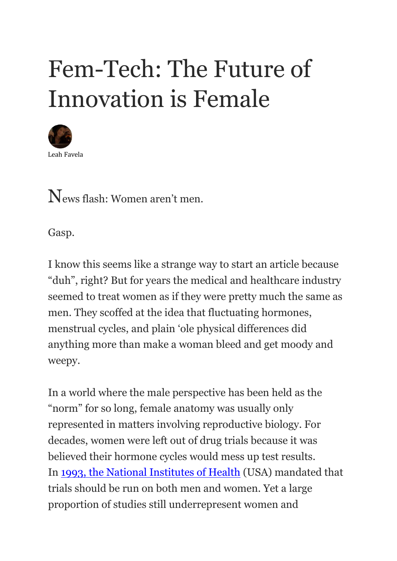# Fem-Tech: The Future of Innovation is Female



News flash: Women aren't men.

Gasp.

I know this seems like a strange way to start an article because "duh", right? But for years the medical and healthcare industry seemed to treat women as if they were pretty much the same as men. They scoffed at the idea that fluctuating hormones, menstrual cycles, and plain 'ole physical differences did anything more than make a woman bleed and get moody and weepy.

In a world where the male perspective has been held as the "norm" for so long, female anatomy was usually only represented in matters involving reproductive biology. For decades, women were left out of drug trials because it was believed their hormone cycles would mess up test results. In [1993, the National Institutes of Health](https://www.ncbi.nlm.nih.gov/pmc/articles/PMC4800017/) (USA) mandated that trials should be run on both men and women. Yet a large proportion of studies still underrepresent women and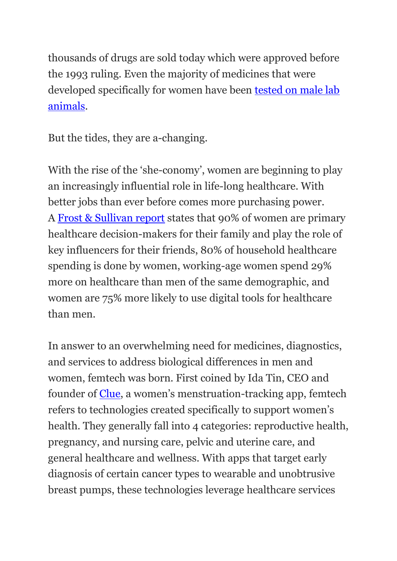thousands of drugs are sold today which were approved before the 1993 ruling. Even the majority of medicines that were developed specifically for women have been **tested on male lab** [animals.](https://medicalxpress.com/news/2020-06-women-overmedicated-drug-dosage-trials.html)

But the tides, they are a-changing.

With the rise of the 'she-conomy', women are beginning to play an increasingly influential role in life-long healthcare. With better jobs than ever before comes more purchasing power. A [Frost & Sullivan report](https://ww2.frost.com/files/1015/2043/3691/Frost__Sullivan_Femtech.pdf) states that 90% of women are primary healthcare decision-makers for their family and play the role of key influencers for their friends, 80% of household healthcare spending is done by women, working-age women spend 29% more on healthcare than men of the same demographic, and women are 75% more likely to use digital tools for healthcare than men.

In answer to an overwhelming need for medicines, diagnostics, and services to address biological differences in men and women, femtech was born. First coined by Ida Tin, CEO and founder of [Clue](https://helloclue.com/), a women's menstruation-tracking app, femtech refers to technologies created specifically to support women's health. They generally fall into 4 categories: reproductive health, pregnancy, and nursing care, pelvic and uterine care, and general healthcare and wellness. With apps that target early diagnosis of certain cancer types to wearable and unobtrusive breast pumps, these technologies leverage healthcare services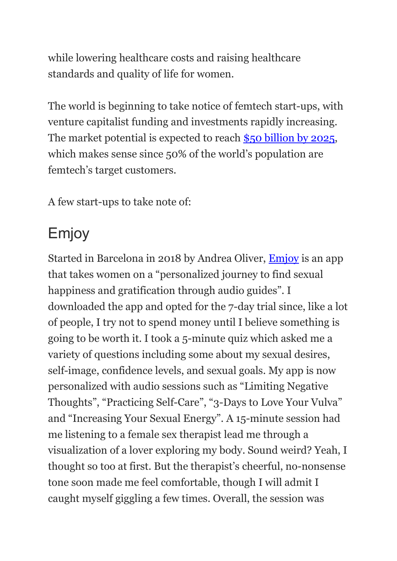while lowering healthcare costs and raising healthcare standards and quality of life for women.

The world is beginning to take notice of femtech start-ups, with venture capitalist funding and investments rapidly increasing. The market potential is expected to reach [\\$50 billion by 2025,](https://ww2.frost.com/frost-perspectives/femtechtime-digital-revolution-womens-health-market/) which makes sense since 50% of the world's population are femtech's target customers.

A few start-ups to take note of:

## Emjoy

Started in Barcelona in 2018 by Andrea Oliver, [Emjoy](https://www.letsemjoy.com/) is an app that takes women on a "personalized journey to find sexual happiness and gratification through audio guides". I downloaded the app and opted for the 7-day trial since, like a lot of people, I try not to spend money until I believe something is going to be worth it. I took a 5-minute quiz which asked me a variety of questions including some about my sexual desires, self-image, confidence levels, and sexual goals. My app is now personalized with audio sessions such as "Limiting Negative Thoughts", "Practicing Self-Care", "3-Days to Love Your Vulva" and "Increasing Your Sexual Energy". A 15-minute session had me listening to a female sex therapist lead me through a visualization of a lover exploring my body. Sound weird? Yeah, I thought so too at first. But the therapist's cheerful, no-nonsense tone soon made me feel comfortable, though I will admit I caught myself giggling a few times. Overall, the session was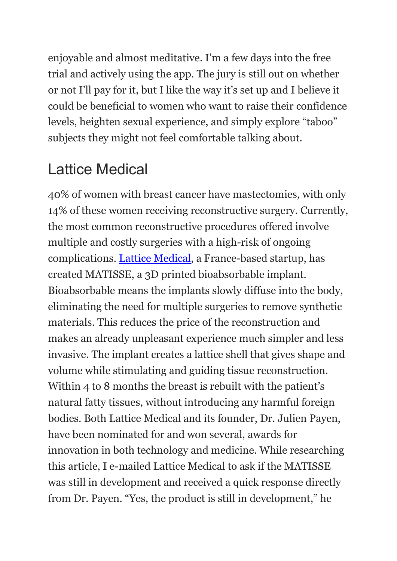enjoyable and almost meditative. I'm a few days into the free trial and actively using the app. The jury is still out on whether or not I'll pay for it, but I like the way it's set up and I believe it could be beneficial to women who want to raise their confidence levels, heighten sexual experience, and simply explore "taboo" subjects they might not feel comfortable talking about.

#### Lattice Medical

40% of women with breast cancer have mastectomies, with only 14% of these women receiving reconstructive surgery. Currently, the most common reconstructive procedures offered involve multiple and costly surgeries with a high-risk of ongoing complications. [Lattice Medical,](https://aninjusticemag.com/lattice-medical.com) a France-based startup, has created MATISSE, a 3D printed bioabsorbable implant. Bioabsorbable means the implants slowly diffuse into the body, eliminating the need for multiple surgeries to remove synthetic materials. This reduces the price of the reconstruction and makes an already unpleasant experience much simpler and less invasive. The implant creates a lattice shell that gives shape and volume while stimulating and guiding tissue reconstruction. Within 4 to 8 months the breast is rebuilt with the patient's natural fatty tissues, without introducing any harmful foreign bodies. Both Lattice Medical and its founder, Dr. Julien Payen, have been nominated for and won several, awards for innovation in both technology and medicine. While researching this article, I e-mailed Lattice Medical to ask if the MATISSE was still in development and received a quick response directly from Dr. Payen. "Yes, the product is still in development," he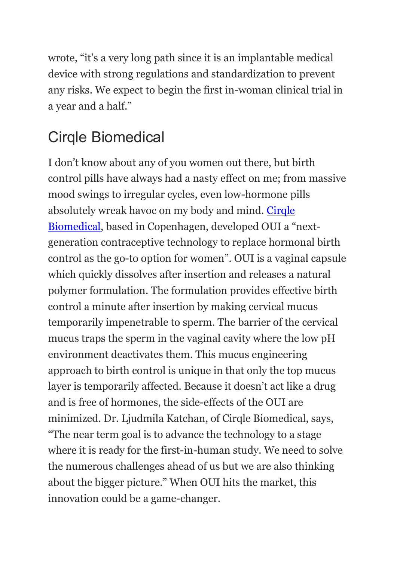wrote, "it's a very long path since it is an implantable medical device with strong regulations and standardization to prevent any risks. We expect to begin the first in-woman clinical trial in a year and a half."

#### Cirqle Biomedical

I don't know about any of you women out there, but birth control pills have always had a nasty effect on me; from massive mood swings to irregular cycles, even low-hormone pills absolutely wreak havoc on my body and mind. [Cirqle](https://www.oui.us/story.html)  [Biomedical](https://www.oui.us/story.html), based in Copenhagen, developed OUI a "nextgeneration contraceptive technology to replace hormonal birth control as the go-to option for women". OUI is a vaginal capsule which quickly dissolves after insertion and releases a natural polymer formulation. The formulation provides effective birth control a minute after insertion by making cervical mucus temporarily impenetrable to sperm. The barrier of the cervical mucus traps the sperm in the vaginal cavity where the low pH environment deactivates them. This mucus engineering approach to birth control is unique in that only the top mucus layer is temporarily affected. Because it doesn't act like a drug and is free of hormones, the side-effects of the OUI are minimized. Dr. Ljudmila Katchan, of Cirqle Biomedical, says, "The near term goal is to advance the technology to a stage where it is ready for the first-in-human study. We need to solve the numerous challenges ahead of us but we are also thinking about the bigger picture." When OUI hits the market, this innovation could be a game-changer.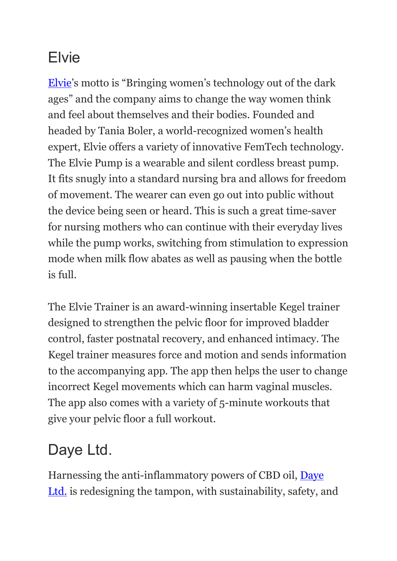#### Elvie

[Elvie](https://www.elvie.com/)'s motto is "Bringing women's technology out of the dark ages" and the company aims to change the way women think and feel about themselves and their bodies. Founded and headed by Tania Boler, a world-recognized women's health expert, Elvie offers a variety of innovative FemTech technology. The Elvie Pump is a wearable and silent cordless breast pump. It fits snugly into a standard nursing bra and allows for freedom of movement. The wearer can even go out into public without the device being seen or heard. This is such a great time-saver for nursing mothers who can continue with their everyday lives while the pump works, switching from stimulation to expression mode when milk flow abates as well as pausing when the bottle is full.

The Elvie Trainer is an award-winning insertable Kegel trainer designed to strengthen the pelvic floor for improved bladder control, faster postnatal recovery, and enhanced intimacy. The Kegel trainer measures force and motion and sends information to the accompanying app. The app then helps the user to change incorrect Kegel movements which can harm vaginal muscles. The app also comes with a variety of 5-minute workouts that give your pelvic floor a full workout.

### Daye Ltd.

Harnessing the anti-inflammatory powers of CBD oil, [Daye](https://yourdaye.com/)  [Ltd.](https://yourdaye.com/) is redesigning the tampon, with sustainability, safety, and